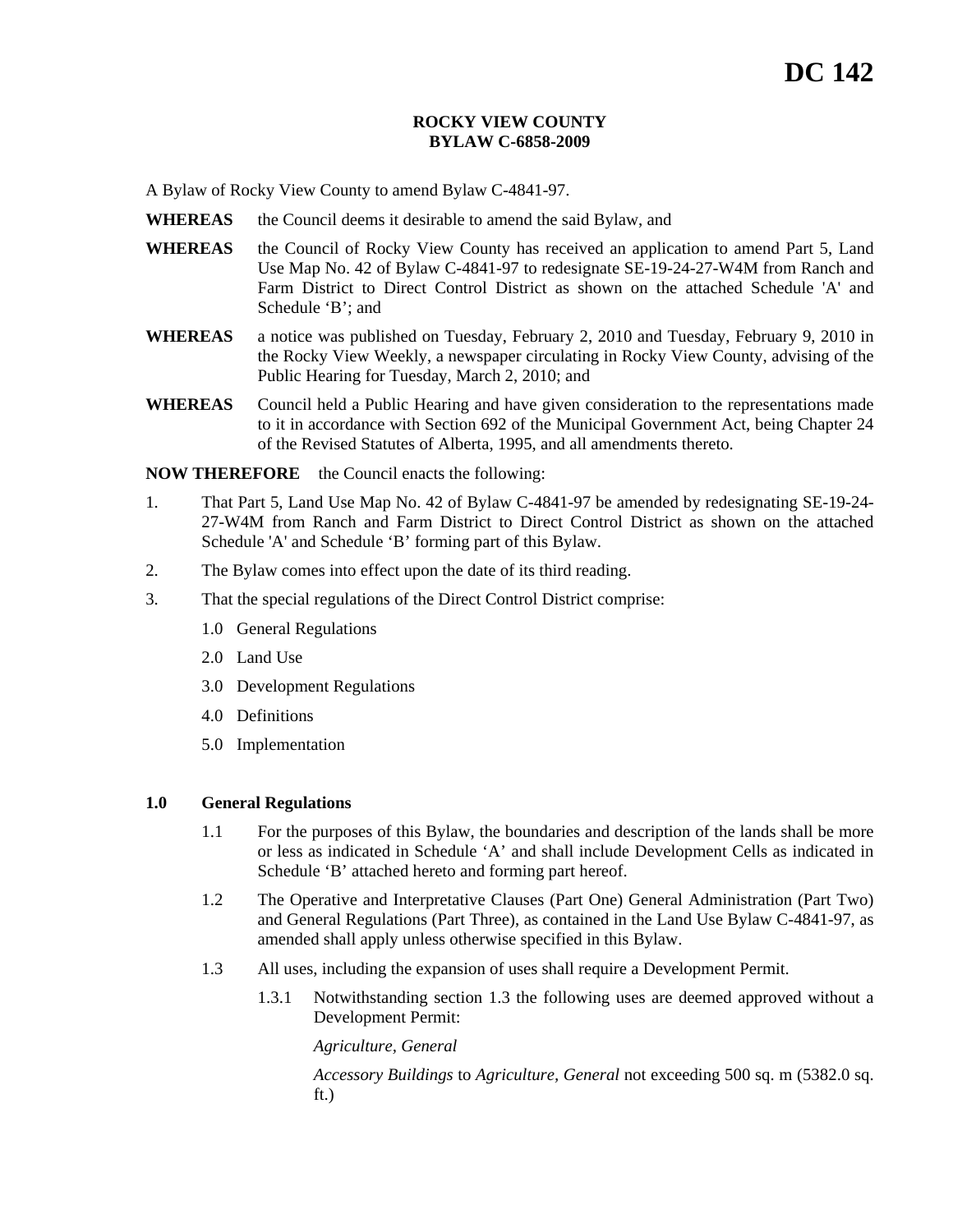# **ROCKY VIEW COUNTY BYLAW C-6858-2009**

A Bylaw of Rocky View County to amend Bylaw C-4841-97.

- **WHEREAS** the Council deems it desirable to amend the said Bylaw, and
- **WHEREAS** the Council of Rocky View County has received an application to amend Part 5, Land Use Map No. 42 of Bylaw C-4841-97 to redesignate SE-19-24-27-W4M from Ranch and Farm District to Direct Control District as shown on the attached Schedule 'A' and Schedule 'B'; and
- **WHEREAS** a notice was published on Tuesday, February 2, 2010 and Tuesday, February 9, 2010 in the Rocky View Weekly, a newspaper circulating in Rocky View County, advising of the Public Hearing for Tuesday, March 2, 2010; and
- **WHEREAS** Council held a Public Hearing and have given consideration to the representations made to it in accordance with Section 692 of the Municipal Government Act, being Chapter 24 of the Revised Statutes of Alberta, 1995, and all amendments thereto.

**NOW THEREFORE** the Council enacts the following:

- 1. That Part 5, Land Use Map No. 42 of Bylaw C-4841-97 be amended by redesignating SE-19-24- 27-W4M from Ranch and Farm District to Direct Control District as shown on the attached Schedule 'A' and Schedule 'B' forming part of this Bylaw.
- 2. The Bylaw comes into effect upon the date of its third reading.
- 3. That the special regulations of the Direct Control District comprise:
	- 1.0 General Regulations
	- 2.0 Land Use
	- 3.0 Development Regulations
	- 4.0 Definitions
	- 5.0 Implementation

## **1.0 General Regulations**

- 1.1 For the purposes of this Bylaw, the boundaries and description of the lands shall be more or less as indicated in Schedule 'A' and shall include Development Cells as indicated in Schedule 'B' attached hereto and forming part hereof.
- 1.2 The Operative and Interpretative Clauses (Part One) General Administration (Part Two) and General Regulations (Part Three), as contained in the Land Use Bylaw C-4841-97, as amended shall apply unless otherwise specified in this Bylaw.
- 1.3 All uses, including the expansion of uses shall require a Development Permit.
	- 1.3.1 Notwithstanding section 1.3 the following uses are deemed approved without a Development Permit:

*Agriculture, General* 

*Accessory Buildings* to *Agriculture, General* not exceeding 500 sq. m (5382.0 sq. ft.)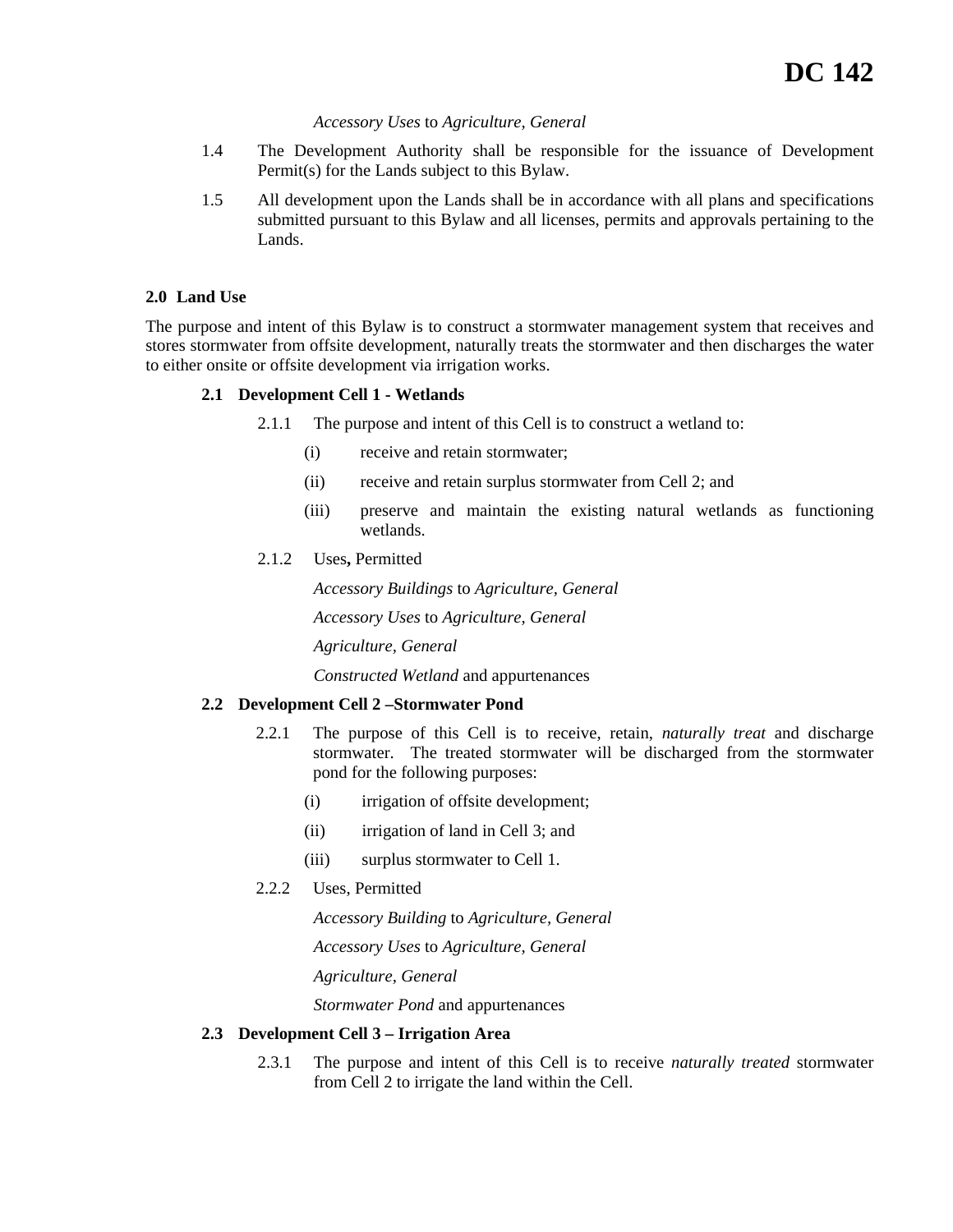## *Accessory Uses* to *Agriculture, General*

- 1.4 The Development Authority shall be responsible for the issuance of Development Permit(s) for the Lands subject to this Bylaw.
- 1.5 All development upon the Lands shall be in accordance with all plans and specifications submitted pursuant to this Bylaw and all licenses, permits and approvals pertaining to the Lands.

# **2.0 Land Use**

The purpose and intent of this Bylaw is to construct a stormwater management system that receives and stores stormwater from offsite development, naturally treats the stormwater and then discharges the water to either onsite or offsite development via irrigation works.

# **2.1 Development Cell 1 - Wetlands**

- 2.1.1 The purpose and intent of this Cell is to construct a wetland to:
	- (i) receive and retain stormwater;
	- (ii) receive and retain surplus stormwater from Cell 2; and
	- (iii) preserve and maintain the existing natural wetlands as functioning wetlands.
- 2.1.2 Uses**,** Permitted

*Accessory Buildings* to *Agriculture, General Accessory Uses* to *Agriculture, General Agriculture, General Constructed Wetland* and appurtenances

# **2.2 Development Cell 2 –Stormwater Pond**

- 2.2.1 The purpose of this Cell is to receive, retain, *naturally treat* and discharge stormwater. The treated stormwater will be discharged from the stormwater pond for the following purposes:
	- (i) irrigation of offsite development;
	- (ii) irrigation of land in Cell 3; and
	- (iii) surplus stormwater to Cell 1.
- 2.2.2 Uses, Permitted

*Accessory Building* to *Agriculture, General* 

*Accessory Uses* to *Agriculture, General*

*Agriculture, General*

*Stormwater Pond* and appurtenances

## **2.3 Development Cell 3 – Irrigation Area**

2.3.1 The purpose and intent of this Cell is to receive *naturally treated* stormwater from Cell 2 to irrigate the land within the Cell.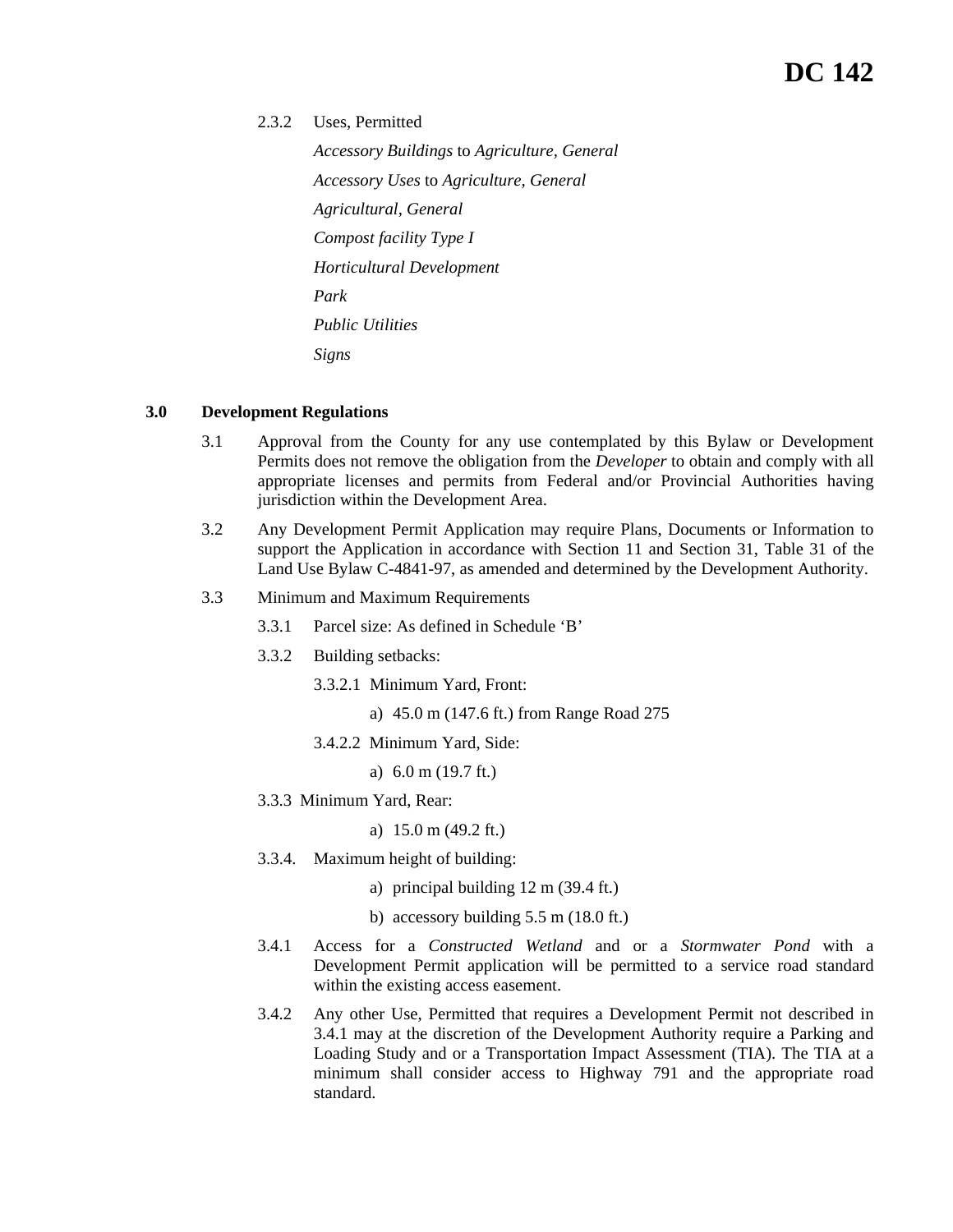2.3.2 Uses, Permitted

*Accessory Buildings* to *Agriculture, General Accessory Uses* to *Agriculture, General Agricultural, General Compost facility Type I Horticultural Development Park Public Utilities Signs*

# **3.0 Development Regulations**

- 3.1 Approval from the County for any use contemplated by this Bylaw or Development Permits does not remove the obligation from the *Developer* to obtain and comply with all appropriate licenses and permits from Federal and/or Provincial Authorities having jurisdiction within the Development Area.
- 3.2 Any Development Permit Application may require Plans, Documents or Information to support the Application in accordance with Section 11 and Section 31, Table 31 of the Land Use Bylaw C-4841-97, as amended and determined by the Development Authority.
- 3.3 Minimum and Maximum Requirements
	- 3.3.1 Parcel size: As defined in Schedule 'B'
	- 3.3.2 Building setbacks:
		- 3.3.2.1 Minimum Yard, Front:
			- a) 45.0 m (147.6 ft.) from Range Road 275
		- 3.4.2.2 Minimum Yard, Side:
			- a) 6.0 m (19.7 ft.)
	- 3.3.3 Minimum Yard, Rear:
		- a) 15.0 m (49.2 ft.)
	- 3.3.4. Maximum height of building:
		- a) principal building 12 m (39.4 ft.)
		- b) accessory building 5.5 m (18.0 ft.)
	- 3.4.1 Access for a *Constructed Wetland* and or a *Stormwater Pond* with a Development Permit application will be permitted to a service road standard within the existing access easement.
	- 3.4.2 Any other Use, Permitted that requires a Development Permit not described in 3.4.1 may at the discretion of the Development Authority require a Parking and Loading Study and or a Transportation Impact Assessment (TIA). The TIA at a minimum shall consider access to Highway 791 and the appropriate road standard.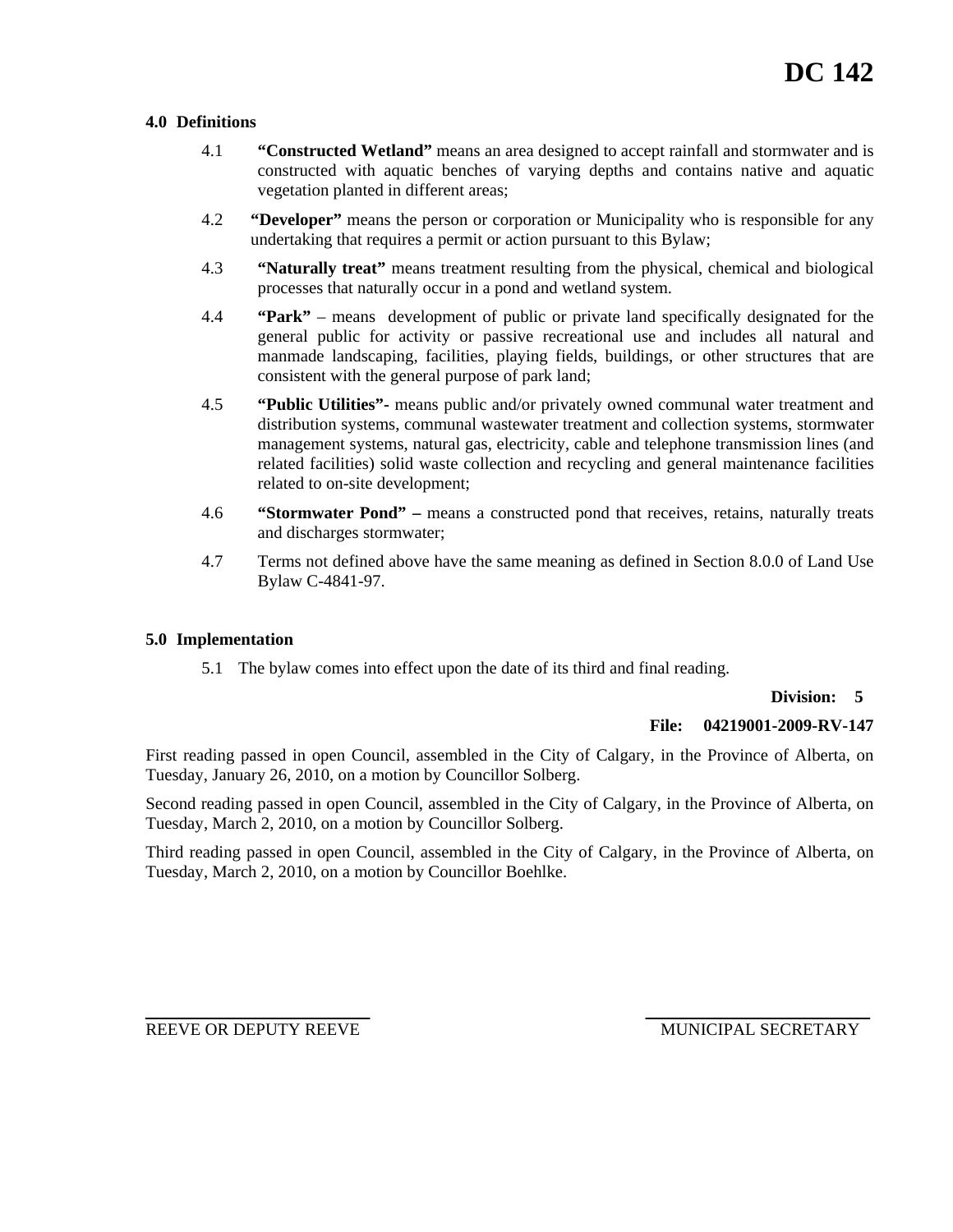# **4.0 Definitions**

- 4.1 **"Constructed Wetland"** means an area designed to accept rainfall and stormwater and is constructed with aquatic benches of varying depths and contains native and aquatic vegetation planted in different areas;
- 4.2 **"Developer"** means the person or corporation or Municipality who is responsible for any undertaking that requires a permit or action pursuant to this Bylaw;
- 4.3 **"Naturally treat"** means treatment resulting from the physical, chemical and biological processes that naturally occur in a pond and wetland system.
- 4.4 **"Park"**  means development of public or private land specifically designated for the general public for activity or passive recreational use and includes all natural and manmade landscaping, facilities, playing fields, buildings, or other structures that are consistent with the general purpose of park land;
- 4.5 **"Public Utilities"-** means public and/or privately owned communal water treatment and distribution systems, communal wastewater treatment and collection systems, stormwater management systems, natural gas, electricity, cable and telephone transmission lines (and related facilities) solid waste collection and recycling and general maintenance facilities related to on-site development;
- 4.6 **"Stormwater Pond" –** means a constructed pond that receives, retains, naturally treats and discharges stormwater;
- 4.7 Terms not defined above have the same meaning as defined in Section 8.0.0 of Land Use Bylaw C-4841-97.

## **5.0 Implementation**

5.1 The bylaw comes into effect upon the date of its third and final reading.

## **Division: 5**

## **File: 04219001-2009-RV-147**

First reading passed in open Council, assembled in the City of Calgary, in the Province of Alberta, on Tuesday, January 26, 2010, on a motion by Councillor Solberg.

Second reading passed in open Council, assembled in the City of Calgary, in the Province of Alberta, on Tuesday, March 2, 2010, on a motion by Councillor Solberg.

Third reading passed in open Council, assembled in the City of Calgary, in the Province of Alberta, on Tuesday, March 2, 2010, on a motion by Councillor Boehlke.

REEVE OR DEPUTY REEVE **ALL ASSESSED ASSESSED AND MUNICIPAL SECRETARY**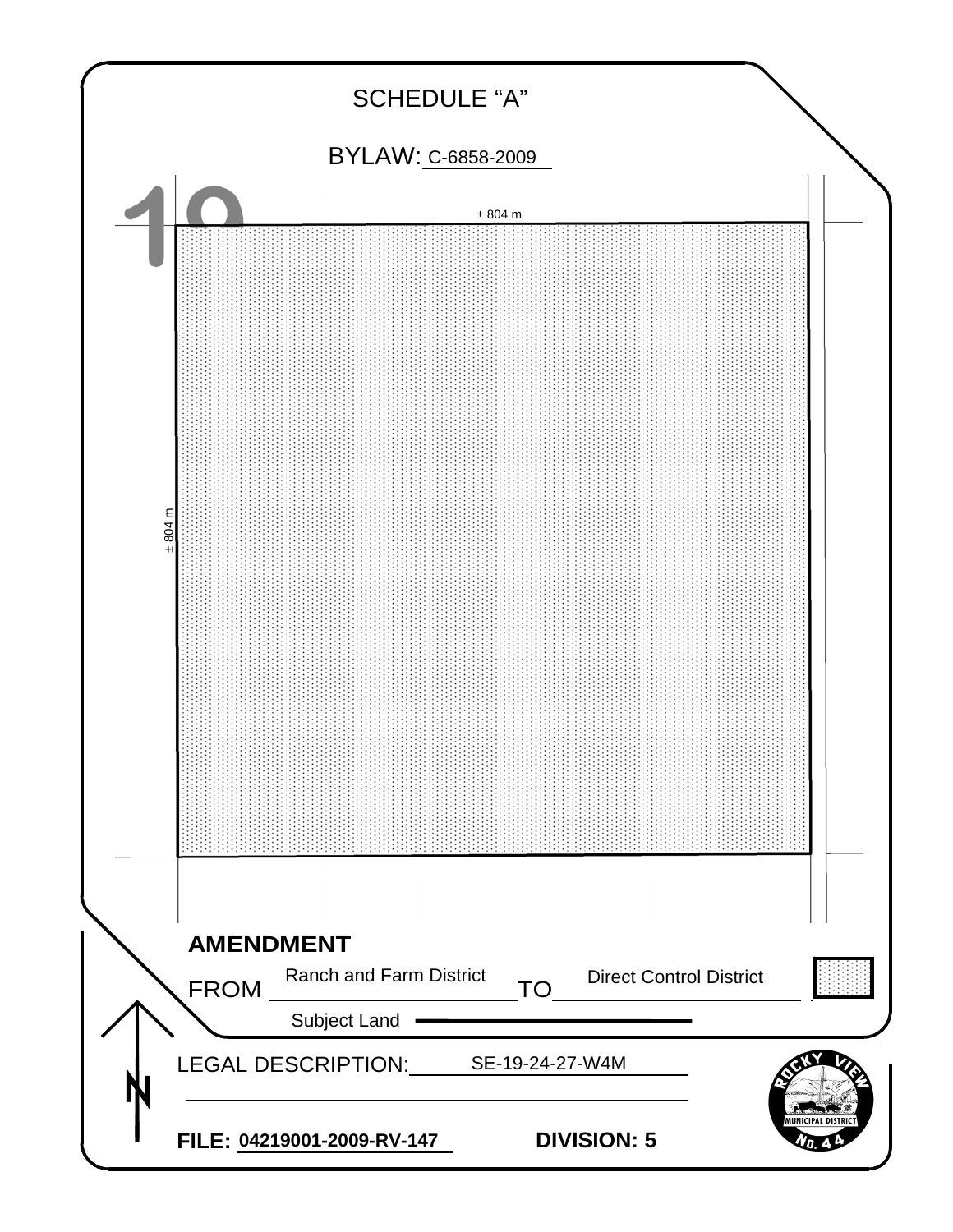